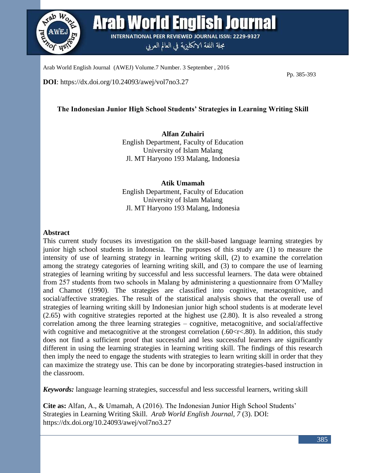

**Arab World English Journal INTERNATIONAL PEER REVIEWED JOURNAL ISSN: 2229-9327** 

مجلة اللغة الانكليزية في العالم العربي

Arab World English Journal (AWEJ) Volume.7 Number. 3 September , 2016

**DOI**: https://dx.doi.org/10.24093/awej/vol7no3.27

Pp. 385-393

# **The Indonesian Junior High School Students' Strategies in Learning Writing Skill**

**Alfan Zuhairi** English Department, Faculty of Education University of Islam Malang Jl. MT Haryono 193 Malang, Indonesia

**Atik Umamah** English Department, Faculty of Education University of Islam Malang Jl. MT Haryono 193 Malang, Indonesia

## **Abstract**

This current study focuses its investigation on the skill-based language learning strategies by junior high school students in Indonesia. The purposes of this study are (1) to measure the intensity of use of learning strategy in learning writing skill, (2) to examine the correlation among the strategy categories of learning writing skill, and (3) to compare the use of learning strategies of learning writing by successful and less successful learners. The data were obtained from 257 students from two schools in Malang by administering a questionnaire from O'Malley and Chamot (1990). The strategies are classified into cognitive, metacognitive, and social/affective strategies. The result of the statistical analysis shows that the overall use of strategies of learning writing skill by Indonesian junior high school students is at moderate level (2.65) with cognitive strategies reported at the highest use (2.80). It is also revealed a strong correlation among the three learning strategies – cognitive, metacognitive, and social/affective with cognitive and metacognitive at the strongest correlation  $(.60<\tau<.80)$ . In addition, this study does not find a sufficient proof that successful and less successful learners are significantly different in using the learning strategies in learning writing skill. The findings of this research then imply the need to engage the students with strategies to learn writing skill in order that they can maximize the strategy use. This can be done by incorporating strategies-based instruction in the classroom.

*Keywords:* language learning strategies, successful and less successful learners, writing skill

**Cite as:** Alfan, A., & Umamah, A (2016). The Indonesian Junior High School Students' Strategies in Learning Writing Skill. *Arab World English Journal, 7* (3). DOI: https://dx.doi.org/10.24093/awej/vol7no3.27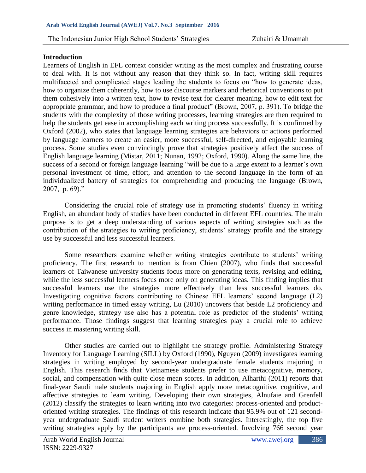#### **Introduction**

Learners of English in EFL context consider writing as the most complex and frustrating course to deal with. It is not without any reason that they think so. In fact, writing skill requires multifaceted and complicated stages leading the students to focus on "how to generate ideas, how to organize them coherently, how to use discourse markers and rhetorical conventions to put them cohesively into a written text, how to revise text for clearer meaning, how to edit text for appropriate grammar, and how to produce a final product" (Brown, 2007, p. 391). To bridge the students with the complexity of those writing processes, learning strategies are then required to help the students get ease in accomplishing each writing process successfully. It is confirmed by Oxford (2002), who states that language learning strategies are behaviors or actions performed by language learners to create an easier, more successful, self-directed, and enjoyable learning process. Some studies even convincingly prove that strategies positively affect the success of English language learning (Mistar, 2011; Nunan, 1992; Oxford, 1990). Along the same line, the success of a second or foreign language learning "will be due to a large extent to a learner's own personal investment of time, effort, and attention to the second language in the form of an individualized battery of strategies for comprehending and producing the language (Brown, 2007, p. 69)."

Considering the crucial role of strategy use in promoting students' fluency in writing English, an abundant body of studies have been conducted in different EFL countries. The main purpose is to get a deep understanding of various aspects of writing strategies such as the contribution of the strategies to writing proficiency, students' strategy profile and the strategy use by successful and less successful learners.

Some researchers examine whether writing strategies contribute to students' writing proficiency. The first research to mention is from Chien (2007), who finds that successful learners of Taiwanese university students focus more on generating texts, revising and editing, while the less successful learners focus more only on generating ideas. This finding implies that successful learners use the strategies more effectively than less successful learners do. Investigating cognitive factors contributing to Chinese EFL learners' second language (L2) writing performance in timed essay writing, Lu (2010) uncovers that beside L2 proficiency and genre knowledge, strategy use also has a potential role as predictor of the students' writing performance. Those findings suggest that learning strategies play a crucial role to achieve success in mastering writing skill.

Other studies are carried out to highlight the strategy profile. Administering Strategy Inventory for Language Learning (SILL) by Oxford (1990), Nguyen (2009) investigates learning strategies in writing employed by second-year undergraduate female students majoring in English. This research finds that Vietnamese students prefer to use metacognitive, memory, social, and compensation with quite close mean scores. In addition, Alharthi (2011) reports that final-year Saudi male students majoring in English apply more metacognitive, cognitive, and affective strategies to learn writing. Developing their own strategies, Alnufaie and Grenfell (2012) classify the strategies to learn writing into two categories: process-oriented and productoriented writing strategies. The findings of this research indicate that 95.9% out of 121 secondyear undergraduate Saudi student writers combine both strategies. Interestingly, the top five writing strategies apply by the participants are process-oriented. Involving 766 second year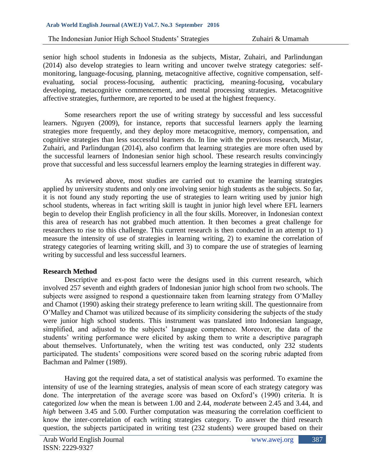senior high school students in Indonesia as the subjects, Mistar, Zuhairi, and Parlindungan (2014) also develop strategies to learn writing and uncover twelve strategy categories: selfmonitoring, language-focusing, planning, metacognitive affective, cognitive compensation, selfevaluating, social process-focusing, authentic practicing, meaning-focusing, vocabulary developing, metacognitive commencement, and mental processing strategies. Metacognitive affective strategies, furthermore, are reported to be used at the highest frequency.

Some researchers report the use of writing strategy by successful and less successful learners. Nguyen (2009), for instance, reports that successful learners apply the learning strategies more frequently, and they deploy more metacognitive, memory, compensation, and cognitive strategies than less successful learners do. In line with the previous research, Mistar, Zuhairi, and Parlindungan (2014), also confirm that learning strategies are more often used by the successful learners of Indonesian senior high school. These research results convincingly prove that successful and less successful learners employ the learning strategies in different way.

As reviewed above, most studies are carried out to examine the learning strategies applied by university students and only one involving senior high students as the subjects. So far, it is not found any study reporting the use of strategies to learn writing used by junior high school students, whereas in fact writing skill is taught in junior high level where EFL learners begin to develop their English proficiency in all the four skills. Moreover, in Indonesian context this area of research has not grabbed much attention. It then becomes a great challenge for researchers to rise to this challenge. This current research is then conducted in an attempt to 1) measure the intensity of use of strategies in learning writing, 2) to examine the correlation of strategy categories of learning writing skill, and 3) to compare the use of strategies of learning writing by successful and less successful learners.

# **Research Method**

Descriptive and ex-post facto were the designs used in this current research, which involved 257 seventh and eighth graders of Indonesian junior high school from two schools. The subjects were assigned to respond a questionnaire taken from learning strategy from O'Malley and Chamot (1990) asking their strategy preference to learn writing skill. The questionnaire from O'Malley and Chamot was utilized because of its simplicity considering the subjects of the study were junior high school students. This instrument was translated into Indonesian language, simplified, and adjusted to the subjects' language competence. Moreover, the data of the students' writing performance were elicited by asking them to write a descriptive paragraph about themselves. Unfortunately, when the writing test was conducted, only 232 students participated. The students' compositions were scored based on the scoring rubric adapted from Bachman and Palmer (1989).

Having got the required data, a set of statistical analysis was performed. To examine the intensity of use of the learning strategies, analysis of mean score of each strategy category was done. The interpretation of the average score was based on Oxford's (1990) criteria. It is categorized *low* when the mean is between 1.00 and 2.44, *moderate* between 2.45 and 3.44, and *high* between 3.45 and 5.00. Further computation was measuring the correlation coefficient to know the inter-correlation of each writing strategies category. To answer the third research question, the subjects participated in writing test (232 students) were grouped based on their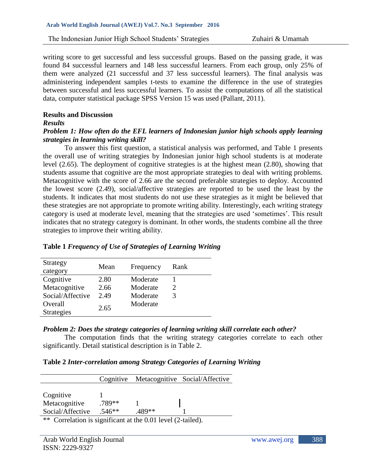writing score to get successful and less successful groups. Based on the passing grade, it was found 84 successful learners and 148 less successful learners. From each group, only 25% of them were analyzed (21 successful and 37 less successful learners). The final analysis was administering independent samples t-tests to examine the difference in the use of strategies between successful and less successful learners. To assist the computations of all the statistical data, computer statistical package SPSS Version 15 was used (Pallant, 2011).

#### **Results and Discussion**

#### *Results*

# *Problem 1: How often do the EFL learners of Indonesian junior high schools apply learning strategies in learning writing skill?*

To answer this first question, a statistical analysis was performed, and Table 1 presents the overall use of writing strategies by Indonesian junior high school students is at moderate level (2.65). The deployment of cognitive strategies is at the highest mean (2.80), showing that students assume that cognitive are the most appropriate strategies to deal with writing problems. Metacognitive with the score of 2.66 are the second preferable strategies to deploy. Accounted the lowest score (2.49), social/affective strategies are reported to be used the least by the students. It indicates that most students do not use these strategies as it might be believed that these strategies are not appropriate to promote writing ability. Interestingly, each writing strategy category is used at moderate level, meaning that the strategies are used 'sometimes'. This result indicates that no strategy category is dominant. In other words, the students combine all the three strategies to improve their writing ability.

| Strategy          | Mean | Frequency | Rank                  |  |
|-------------------|------|-----------|-----------------------|--|
| category          |      |           |                       |  |
| Cognitive         | 2.80 | Moderate  |                       |  |
| Metacognitive     | 2.66 | Moderate  | $\mathcal{D}_{\cdot}$ |  |
| Social/Affective  | 2.49 | Moderate  | 3                     |  |
| Overall           | 2.65 | Moderate  |                       |  |
| <b>Strategies</b> |      |           |                       |  |

# **Table 1** *Frequency of Use of Strategies of Learning Writing*

# *Problem 2: Does the strategy categories of learning writing skill correlate each other?*

The computation finds that the writing strategy categories correlate to each other significantly. Detail statistical description is in Table 2.

| Table 2 Inter-correlation among Strategy Categories of Learning Writing |  |  |  |  |  |
|-------------------------------------------------------------------------|--|--|--|--|--|
|-------------------------------------------------------------------------|--|--|--|--|--|

|                                                                     |          |       | Cognitive Metacognitive Social/Affective |  |
|---------------------------------------------------------------------|----------|-------|------------------------------------------|--|
|                                                                     |          |       |                                          |  |
| Cognitive                                                           |          |       |                                          |  |
| Metacognitive                                                       | .789**   |       |                                          |  |
| Social/Affective                                                    | $.546**$ | 489** |                                          |  |
| ** Correlation is significant at the 0.01 level $(2 \text{ to } 1)$ |          |       |                                          |  |

Correlation is significant at the  $0.01$  level (2-tailed).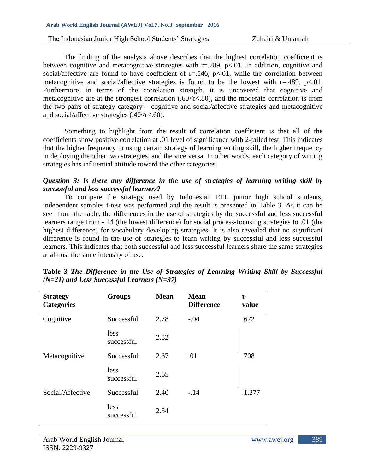#### **Arab World English Journal (AWEJ) Vol.7. No.3 September 2016**

The Indonesian Junior High School Students' Strategies Zuhairi & Umamah

The finding of the analysis above describes that the highest correlation coefficient is between cognitive and metacognitive strategies with  $r = .789$ ,  $p < .01$ . In addition, cognitive and social/affective are found to have coefficient of  $r = .546$ ,  $p < .01$ , while the correlation between metacognitive and social/affective strategies is found to be the lowest with  $r = .489$ ,  $p < .01$ . Furthermore, in terms of the correlation strength, it is uncovered that cognitive and metacognitive are at the strongest correlation (.60<r<.80), and the moderate correlation is from the two pairs of strategy category – cognitive and social/affective strategies and metacognitive and social/affective strategies  $(.40 < r < .60)$ .

Something to highlight from the result of correlation coefficient is that all of the coefficients show positive correlation at .01 level of significance with 2-tailed test. This indicates that the higher frequency in using certain strategy of learning writing skill, the higher frequency in deploying the other two strategies, and the vice versa. In other words, each category of writing strategies has influential attitude toward the other categories.

## *Question 3: Is there any difference in the use of strategies of learning writing skill by successful and less successful learners?*

To compare the strategy used by Indonesian EFL junior high school students, independent samples t-test was performed and the result is presented in Table 3. As it can be seen from the table, the differences in the use of strategies by the successful and less successful learners range from -.14 (the lowest difference) for social process-focusing strategies to .01 (the highest difference) for vocabulary developing strategies. It is also revealed that no significant difference is found in the use of strategies to learn writing by successful and less successful learners. This indicates that both successful and less successful learners share the same strategies at almost the same intensity of use.

| <b>Strategy</b><br><b>Categories</b> | <b>Groups</b>      | <b>Mean</b> | <b>Mean</b><br><b>Difference</b> | t-<br>value |
|--------------------------------------|--------------------|-------------|----------------------------------|-------------|
| Cognitive                            | Successful         | 2.78        | $-.04$                           | .672        |
|                                      | less<br>successful | 2.82        |                                  |             |
| Metacognitive                        | Successful         | 2.67        | .01                              | .708        |
|                                      | less<br>successful | 2.65        |                                  |             |
| Social/Affective                     | Successful         | 2.40        | $-.14$                           | .1.277      |
|                                      | less<br>successful | 2.54        |                                  |             |

**Table 3** *The Difference in the Use of Strategies of Learning Writing Skill by Successful (N=21) and Less Successful Learners (N=37)*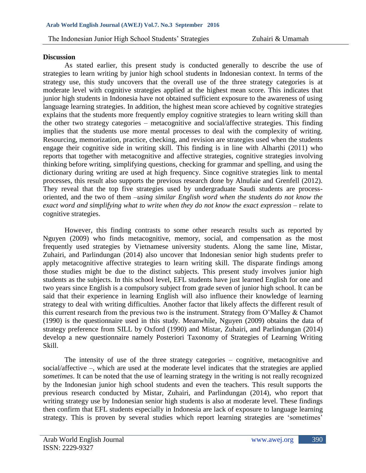#### **Discussion**

As stated earlier, this present study is conducted generally to describe the use of strategies to learn writing by junior high school students in Indonesian context. In terms of the strategy use, this study uncovers that the overall use of the three strategy categories is at moderate level with cognitive strategies applied at the highest mean score. This indicates that junior high students in Indonesia have not obtained sufficient exposure to the awareness of using language learning strategies. In addition, the highest mean score achieved by cognitive strategies explains that the students more frequently employ cognitive strategies to learn writing skill than the other two strategy categories – metacognitive and social/affective strategies. This finding implies that the students use more mental processes to deal with the complexity of writing. Resourcing, memorization, practice, checking, and revision are strategies used when the students engage their cognitive side in writing skill. This finding is in line with Alharthi (2011) who reports that together with metacognitive and affective strategies, cognitive strategies involving thinking before writing, simplifying questions, checking for grammar and spelling, and using the dictionary during writing are used at high frequency. Since cognitive strategies link to mental processes, this result also supports the previous research done by Alnufaie and Grenfell (2012). They reveal that the top five strategies used by undergraduate Saudi students are processoriented, and the two of them –*using similar English word when the students do not know the exact word and simplifying what to write when they do not know the exact expression* – relate to cognitive strategies.

However, this finding contrasts to some other research results such as reported by Nguyen (2009) who finds metacognitive, memory, social, and compensation as the most frequently used strategies by Vietnamese university students. Along the same line, Mistar, Zuhairi, and Parlindungan (2014) also uncover that Indonesian senior high students prefer to apply metacognitive affective strategies to learn writing skill. The disparate findings among those studies might be due to the distinct subjects. This present study involves junior high students as the subjects. In this school level, EFL students have just learned English for one and two years since English is a compulsory subject from grade seven of junior high school. It can be said that their experience in learning English will also influence their knowledge of learning strategy to deal with writing difficulties. Another factor that likely affects the different result of this current research from the previous two is the instrument. Strategy from O'Malley & Chamot (1990) is the questionnaire used in this study. Meanwhile, Nguyen (2009) obtains the data of strategy preference from SILL by Oxford (1990) and Mistar, Zuhairi, and Parlindungan (2014) develop a new questionnaire namely Posteriori Taxonomy of Strategies of Learning Writing Skill.

The intensity of use of the three strategy categories – cognitive, metacognitive and social/affective –, which are used at the moderate level indicates that the strategies are applied *sometimes*. It can be noted that the use of learning strategy in the writing is not really recognized by the Indonesian junior high school students and even the teachers. This result supports the previous research conducted by Mistar, Zuhairi, and Parlindungan (2014), who report that writing strategy use by Indonesian senior high students is also at moderate level. These findings then confirm that EFL students especially in Indonesia are lack of exposure to language learning strategy. This is proven by several studies which report learning strategies are 'sometimes'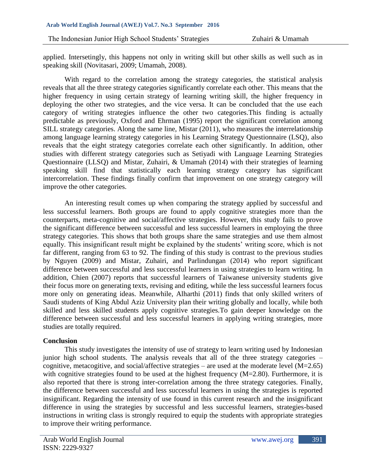applied. Intersetingly, this happens not only in writing skill but other skills as well such as in speaking skill (Novitasari, 2009; Umamah, 2008).

With regard to the correlation among the strategy categories, the statistical analysis reveals that all the three strategy categories significantly correlate each other. This means that the higher frequency in using certain strategy of learning writing skill, the higher frequency in deploying the other two strategies, and the vice versa. It can be concluded that the use each category of writing strategies influence the other two categories.This finding is actually predictable as previously, Oxford and Ehrman (1995) report the significant correlation among SILL strategy categories. Along the same line, Mistar (2011), who measures the interrelationship among language learning strategy categories in his Learning Strategy Questionnaire (LSQ), also reveals that the eight strategy categories correlate each other significantly. In addition, other studies with different strategy categories such as Setiyadi with Language Learning Strategies Questionnaire (LLSQ) and Mistar, Zuhairi, & Umamah (2014) with their strategies of learning speaking skill find that statistically each learning strategy category has significant intercorrelation. These findings finally confirm that improvement on one strategy category will improve the other categories.

An interesting result comes up when comparing the strategy applied by successful and less successful learners. Both groups are found to apply cognitive strategies more than the counterparts, meta-cognitive and social/affective strategies. However, this study fails to prove the significant difference between successful and less successful learners in employing the three strategy categories. This shows that both groups share the same strategies and use them almost equally. This insignificant result might be explained by the students' writing score, which is not far different, ranging from 63 to 92. The finding of this study is contrast to the previous studies by Nguyen (2009) and Mistar, Zuhairi, and Parlindungan (2014) who report significant difference between successful and less successful learners in using strategies to learn writing. In addition, Chien (2007) reports that successful learners of Taiwanese university students give their focus more on generating texts, revising and editing, while the less successful learners focus more only on generating ideas. Meanwhile, Alharthi (2011) finds that only skilled writers of Saudi students of King Abdul Aziz University plan their writing globally and locally, while both skilled and less skilled students apply cognitive strategies.To gain deeper knowledge on the difference between successful and less successful learners in applying writing strategies, more studies are totally required.

# **Conclusion**

This study investigates the intensity of use of strategy to learn writing used by Indonesian junior high school students. The analysis reveals that all of the three strategy categories – cognitive, metacogitive, and social/affective strategies – are used at the moderate level  $(M=2.65)$ with cognitive strategies found to be used at the highest frequency  $(M=2.80)$ . Furthermore, it is also reported that there is strong inter-correlation among the three strategy categories. Finally, the difference between successful and less successful learners in using the strategies is reported insignificant. Regarding the intensity of use found in this current research and the insignificant difference in using the strategies by successful and less successful learners, strategies-based instructions in writing class is strongly required to equip the students with appropriate strategies to improve their writing performance.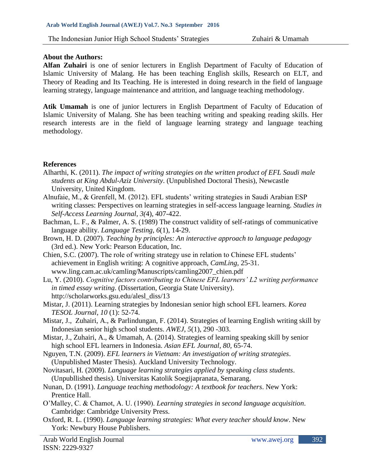## **About the Authors:**

**Alfan Zuhairi** is one of senior lecturers in English Department of Faculty of Education of Islamic University of Malang. He has been teaching English skills, Research on ELT, and Theory of Reading and Its Teaching. He is interested in doing research in the field of language learning strategy, language maintenance and attrition, and language teaching methodology.

**Atik Umamah** is one of junior lecturers in English Department of Faculty of Education of Islamic University of Malang. She has been teaching writing and speaking reading skills. Her research interests are in the field of language learning strategy and language teaching methodology.

## **References**

- Alharthi, K. (2011). *The impact of writing strategies on the written product of EFL Saudi male students at King Abdul-Aziz University*. (Unpublished Doctoral Thesis), Newcastle University, United Kingdom.
- Alnufaie, M., & Grenfell, M. (2012). EFL students' writing strategies in Saudi Arabian ESP writing classes: Perspectives on learning strategies in self-access language learning. *Studies in Self-Access Learning Journal*, *3(*4), 407-422.
- Bachman, L. F., & Palmer, A. S. (1989) The construct validity of self-ratings of communicative language ability. *Language Testing*, *6*(1), 14-29.
- Brown, H. D. (2007). *Teaching by principles: An interactive approach to language pedagogy*  (3rd ed.). New York: Pearson Education, Inc.
- Chien, S.C. (2007). The role of writing strategy use in relation to Chinese EFL students' achievement in English writing: A cognitive approach, *CamLing,* 25-31. [www.ling.cam.ac.uk/camling/Manuscripts/camling2007\\_chien.](http://www.ling.cam.ac.uk/camling/Manuscripts/camling2007_chien)pdf
- Lu, Y. (2010). *Cognitive factors contributing to Chinese EFL learners' L2 writing performance in timed essay writing*. (Dissertation, Georgia State University). [http://scholarworks.gsu.edu/alesl\\_diss/13](http://scholarworks.gsu.edu/alesl_diss/13)
- Mistar, J. (2011). Learning strategies by Indonesian senior high school EFL learners. *Korea TESOL Journal*, *10* (1): 52-74.
- Mistar, J., Zuhairi, A., & Parlindungan, F. (2014). Strategies of learning English writing skill by Indonesian senior high school students. *AWEJ*, *5*(1), 290 -303.
- Mistar, J., Zuhairi, A., & Umamah, A. (2014). Strategies of learning speaking skill by senior high school EFL learners in Indonesia. *Asian EFL Journal*, *80,* 65-74.
- Nguyen, T.N. (2009). *EFL learners in Vietnam: An investigation of writing strategies*. (Unpublished Master Thesis). Auckland University Technology.
- Novitasari, H. (2009). *Language learning strategies applied by speaking class students*. (Unpubllished thesis). Universitas Katolik Soegijapranata, Semarang.
- Nunan, D. (1991). *Language teaching methodology: A textbook for teachers*. New York: Prentice Hall.
- O'Malley, C. & Chamot, A. U. (1990). *Learning strategies in second language acquisition*. Cambridge: Cambridge University Press.
- Oxford, R. L. (1990). *Language learning strategies: What every teacher should know*. New York: Newbury House Publishers.